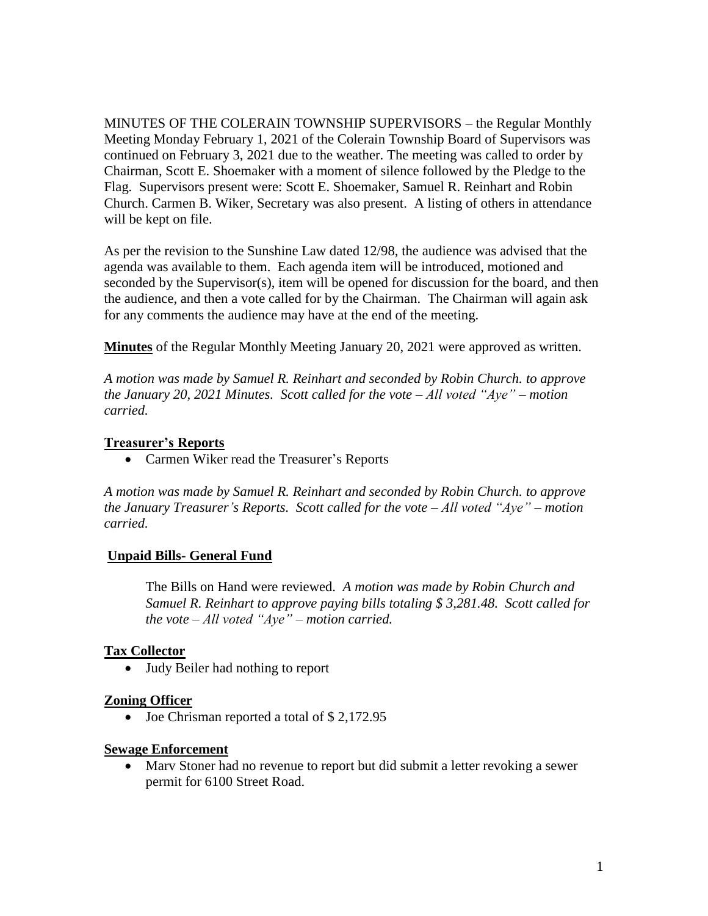MINUTES OF THE COLERAIN TOWNSHIP SUPERVISORS – the Regular Monthly Meeting Monday February 1, 2021 of the Colerain Township Board of Supervisors was continued on February 3, 2021 due to the weather. The meeting was called to order by Chairman, Scott E. Shoemaker with a moment of silence followed by the Pledge to the Flag. Supervisors present were: Scott E. Shoemaker, Samuel R. Reinhart and Robin Church. Carmen B. Wiker, Secretary was also present. A listing of others in attendance will be kept on file.

As per the revision to the Sunshine Law dated 12/98, the audience was advised that the agenda was available to them. Each agenda item will be introduced, motioned and seconded by the Supervisor(s), item will be opened for discussion for the board, and then the audience, and then a vote called for by the Chairman. The Chairman will again ask for any comments the audience may have at the end of the meeting.

**Minutes** of the Regular Monthly Meeting January 20, 2021 were approved as written.

*A motion was made by Samuel R. Reinhart and seconded by Robin Church. to approve the January 20, 2021 Minutes. Scott called for the vote – All voted "Aye" – motion carried.*

# **Treasurer's Reports**

Carmen Wiker read the Treasurer's Reports

*A motion was made by Samuel R. Reinhart and seconded by Robin Church. to approve the January Treasurer's Reports. Scott called for the vote – All voted "Aye" – motion carried.*

# **Unpaid Bills- General Fund**

The Bills on Hand were reviewed. *A motion was made by Robin Church and Samuel R. Reinhart to approve paying bills totaling \$ 3,281.48. Scott called for the vote – All voted "Aye" – motion carried.*

# **Tax Collector**

Judy Beiler had nothing to report

#### **Zoning Officer**

• Joe Chrisman reported a total of \$2,172.95

#### **Sewage Enforcement**

 Marv Stoner had no revenue to report but did submit a letter revoking a sewer permit for 6100 Street Road.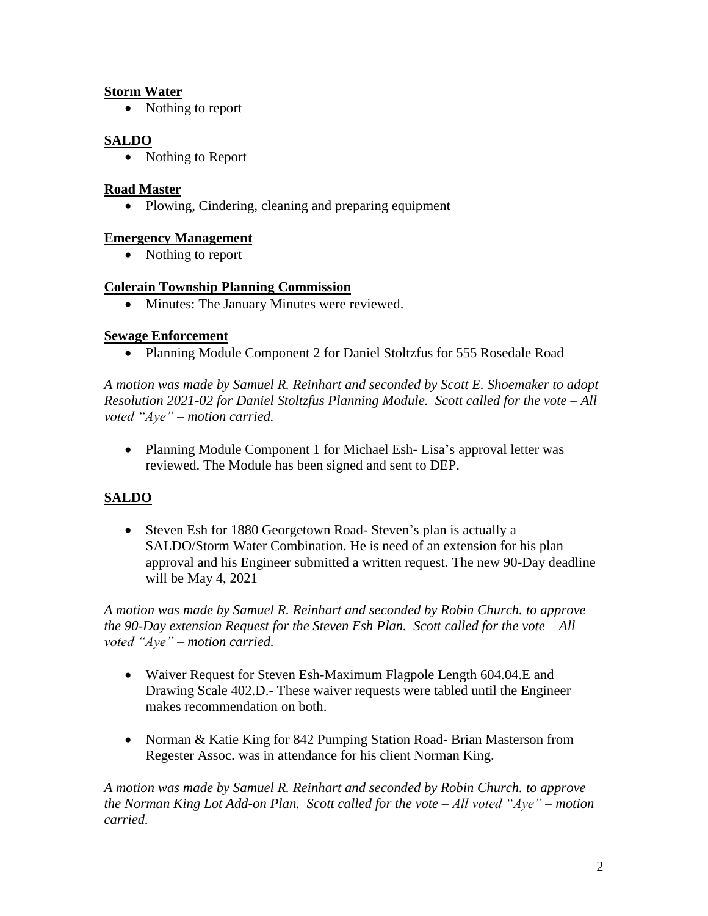# **Storm Water**

• Nothing to report

# **SALDO**

• Nothing to Report

## **Road Master**

• Plowing, Cindering, cleaning and preparing equipment

## **Emergency Management**

• Nothing to report

## **Colerain Township Planning Commission**

• Minutes: The January Minutes were reviewed.

## **Sewage Enforcement**

Planning Module Component 2 for Daniel Stoltzfus for 555 Rosedale Road

*A motion was made by Samuel R. Reinhart and seconded by Scott E. Shoemaker to adopt Resolution 2021-02 for Daniel Stoltzfus Planning Module. Scott called for the vote – All voted "Aye" – motion carried.*

• Planning Module Component 1 for Michael Esh- Lisa's approval letter was reviewed. The Module has been signed and sent to DEP.

# **SALDO**

• Steven Esh for 1880 Georgetown Road-Steven's plan is actually a SALDO/Storm Water Combination. He is need of an extension for his plan approval and his Engineer submitted a written request. The new 90-Day deadline will be May 4, 2021

*A motion was made by Samuel R. Reinhart and seconded by Robin Church. to approve the 90-Day extension Request for the Steven Esh Plan. Scott called for the vote – All voted "Aye" – motion carried.*

- Waiver Request for Steven Esh-Maximum Flagpole Length 604.04. E and Drawing Scale 402.D.- These waiver requests were tabled until the Engineer makes recommendation on both.
- Norman & Katie King for 842 Pumping Station Road- Brian Masterson from Regester Assoc. was in attendance for his client Norman King.

*A motion was made by Samuel R. Reinhart and seconded by Robin Church. to approve the Norman King Lot Add-on Plan. Scott called for the vote – All voted "Aye" – motion carried.*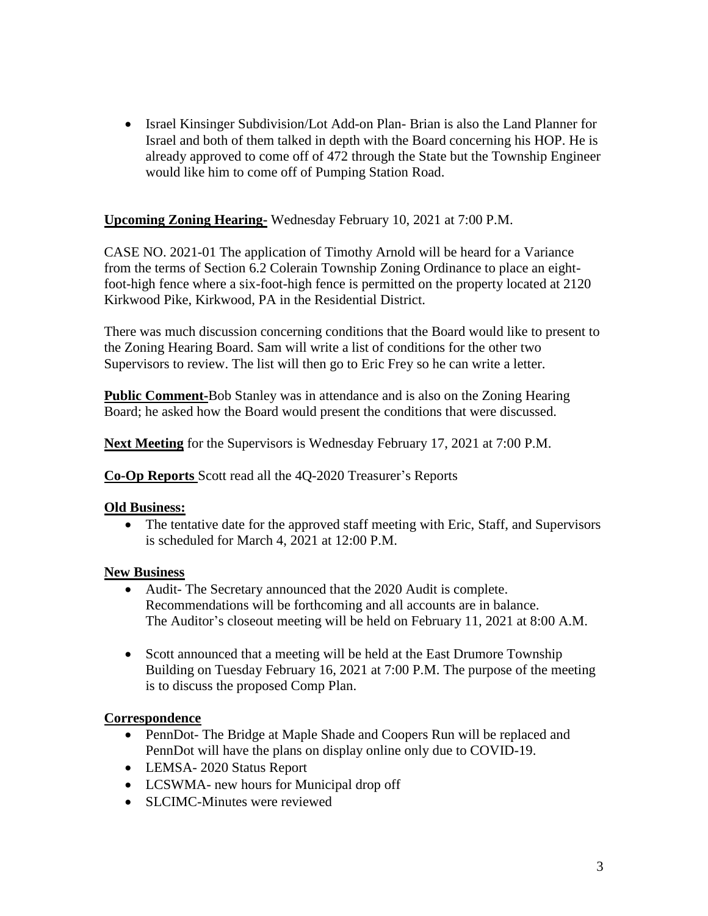• Israel Kinsinger Subdivision/Lot Add-on Plan-Brian is also the Land Planner for Israel and both of them talked in depth with the Board concerning his HOP. He is already approved to come off of 472 through the State but the Township Engineer would like him to come off of Pumping Station Road.

# **Upcoming Zoning Hearing-** Wednesday February 10, 2021 at 7:00 P.M.

CASE NO. 2021-01 The application of Timothy Arnold will be heard for a Variance from the terms of Section 6.2 Colerain Township Zoning Ordinance to place an eightfoot-high fence where a six-foot-high fence is permitted on the property located at 2120 Kirkwood Pike, Kirkwood, PA in the Residential District.

There was much discussion concerning conditions that the Board would like to present to the Zoning Hearing Board. Sam will write a list of conditions for the other two Supervisors to review. The list will then go to Eric Frey so he can write a letter.

**Public Comment-**Bob Stanley was in attendance and is also on the Zoning Hearing Board; he asked how the Board would present the conditions that were discussed.

**Next Meeting** for the Supervisors is Wednesday February 17, 2021 at 7:00 P.M.

**Co-Op Reports** Scott read all the 4Q-2020 Treasurer's Reports

#### **Old Business:**

 The tentative date for the approved staff meeting with Eric, Staff, and Supervisors is scheduled for March 4, 2021 at 12:00 P.M.

#### **New Business**

- Audit- The Secretary announced that the 2020 Audit is complete. Recommendations will be forthcoming and all accounts are in balance. The Auditor's closeout meeting will be held on February 11, 2021 at 8:00 A.M.
- Scott announced that a meeting will be held at the East Drumore Township Building on Tuesday February 16, 2021 at 7:00 P.M. The purpose of the meeting is to discuss the proposed Comp Plan.

# **Correspondence**

- PennDot- The Bridge at Maple Shade and Coopers Run will be replaced and PennDot will have the plans on display online only due to COVID-19.
- LEMSA- 2020 Status Report
- LCSWMA- new hours for Municipal drop off
- SLCIMC-Minutes were reviewed